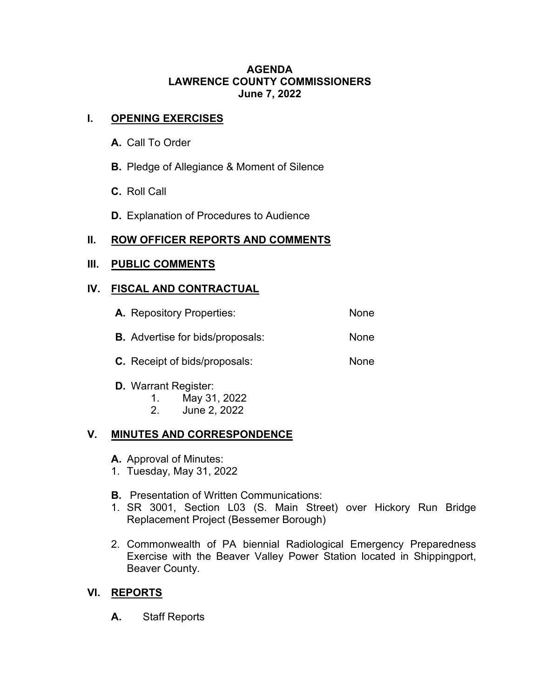#### **AGENDA LAWRENCE COUNTY COMMISSIONERS June 7, 2022**

# **I. OPENING EXERCISES**

- **A.** Call To Order
- **B.** Pledge of Allegiance & Moment of Silence
- **C.** Roll Call
- **D.** Explanation of Procedures to Audience

# **II. ROW OFFICER REPORTS AND COMMENTS**

#### **III. PUBLIC COMMENTS**

## **IV. FISCAL AND CONTRACTUAL**

| <b>A.</b> Repository Properties:        | <b>None</b> |
|-----------------------------------------|-------------|
| <b>B.</b> Advertise for bids/proposals: | None        |
| .                                       |             |

- **C.** Receipt of bids/proposals: None
- **D.** Warrant Register:
	- 1. May 31, 2022
	- 2. June 2, 2022

# **V. MINUTES AND CORRESPONDENCE**

- **A.** Approval of Minutes:
- 1. Tuesday, May 31, 2022
- **B.** Presentation of Written Communications:
- 1. SR 3001, Section L03 (S. Main Street) over Hickory Run Bridge Replacement Project (Bessemer Borough)
- 2. Commonwealth of PA biennial Radiological Emergency Preparedness Exercise with the Beaver Valley Power Station located in Shippingport, Beaver County.

# **VI. REPORTS**

**A.** Staff Reports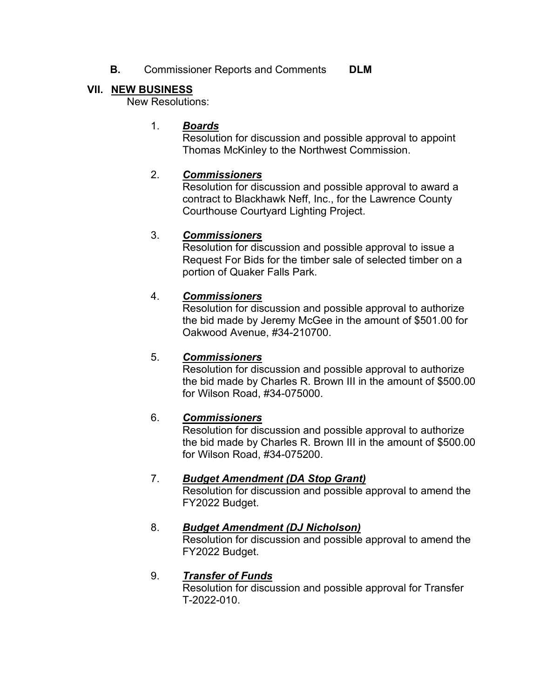**B.** Commissioner Reports and Comments **DLM** 

# **VII. NEW BUSINESS**

New Resolutions:

## 1. *Boards*

Resolution for discussion and possible approval to appoint Thomas McKinley to the Northwest Commission.

## 2. *Commissioners*

Resolution for discussion and possible approval to award a contract to Blackhawk Neff, Inc., for the Lawrence County Courthouse Courtyard Lighting Project.

## 3. *Commissioners*

Resolution for discussion and possible approval to issue a Request For Bids for the timber sale of selected timber on a portion of Quaker Falls Park.

## 4. *Commissioners*

Resolution for discussion and possible approval to authorize the bid made by Jeremy McGee in the amount of \$501.00 for Oakwood Avenue, #34-210700.

#### 5. *Commissioners*

Resolution for discussion and possible approval to authorize the bid made by Charles R. Brown III in the amount of \$500.00 for Wilson Road, #34-075000.

# 6. *Commissioners*

Resolution for discussion and possible approval to authorize the bid made by Charles R. Brown III in the amount of \$500.00 for Wilson Road, #34-075200.

# 7. *Budget Amendment (DA Stop Grant)*

Resolution for discussion and possible approval to amend the FY2022 Budget.

#### 8. *Budget Amendment (DJ Nicholson)*

Resolution for discussion and possible approval to amend the FY2022 Budget.

# 9. *Transfer of Funds*

Resolution for discussion and possible approval for Transfer T-2022-010.